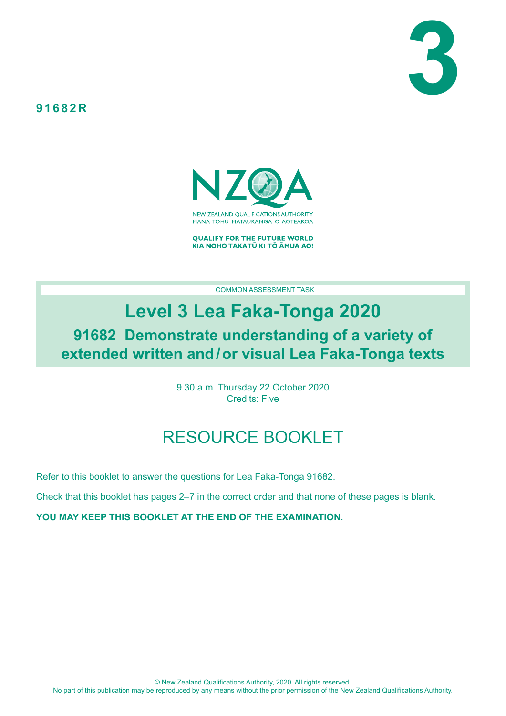



**QUALIFY FOR THE FUTURE WORLD** KIA NOHO TAKATŪ KI TŌ ĀMUA AO!

COMMON ASSESSMENT TASK

# **Level 3 Lea Faka-Tonga 2020**

**91682 Demonstrate understanding of a variety of extended written and/or visual Lea Faka-Tonga texts**

> 9.30 a.m. Thursday 22 October 2020 Credits: Five

# RESOURCE BOOKLET

Refer to this booklet to answer the questions for Lea Faka-Tonga 91682.

Check that this booklet has pages 2–7 in the correct order and that none of these pages is blank.

**YOU MAY KEEP THIS BOOKLET AT THE END OF THE EXAMINATION.**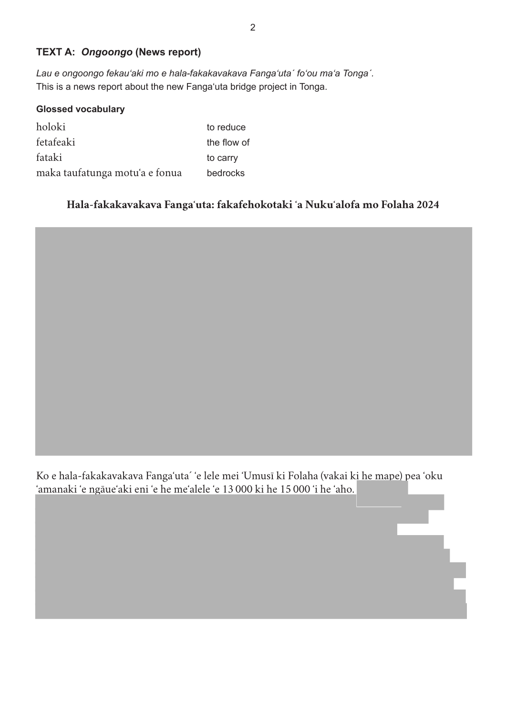## **TEXT A:** *Ongoongo* **(News report)**

*Lau e ongoongo fekauʻaki mo e hala-fakakavakava Fangaʻutaˊ foʻou maʻa Tongaˊ.*  This is a news report about the new Fangaʻuta bridge project in Tonga.

| <b>Glossed vocabulary</b>      |             |
|--------------------------------|-------------|
| holoki                         | to reduce   |
| fetafeaki                      | the flow of |
| fataki                         | to carry    |
| maka taufatunga motu'a e fonua | bedrocks    |

## **Hala-fakakavakava Fangaʻuta: fakafehokotaki ʻa Nukuʻalofa mo Folaha 2024**



Ko e hala-fakakavakava Fangaʻuta´ ʻe lele mei ʻUmusī ki Folaha (vakai ki he mape) pea ʻoku ʻamanaki ʻe ngāueʻaki eni ʻe he meʻalele ʻe 13 000 ki he 15 000 ʻi he ʻaho.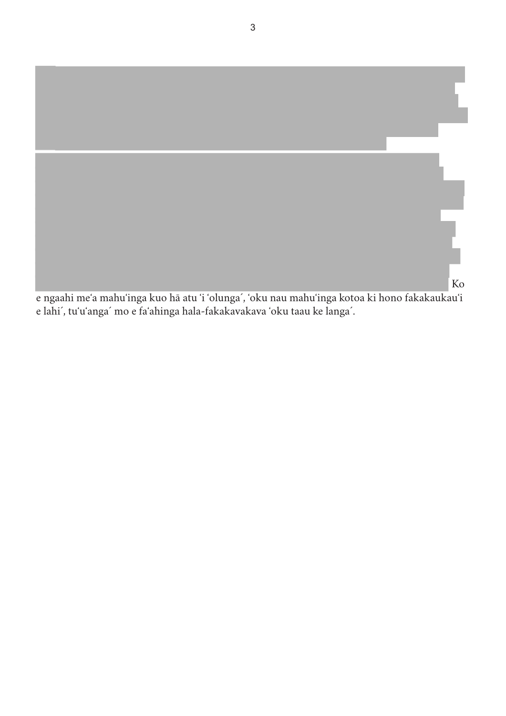

e lahi´, tuʻuʻanga´ mo e faʻahinga hala-fakakavakava 'oku taau ke langa´.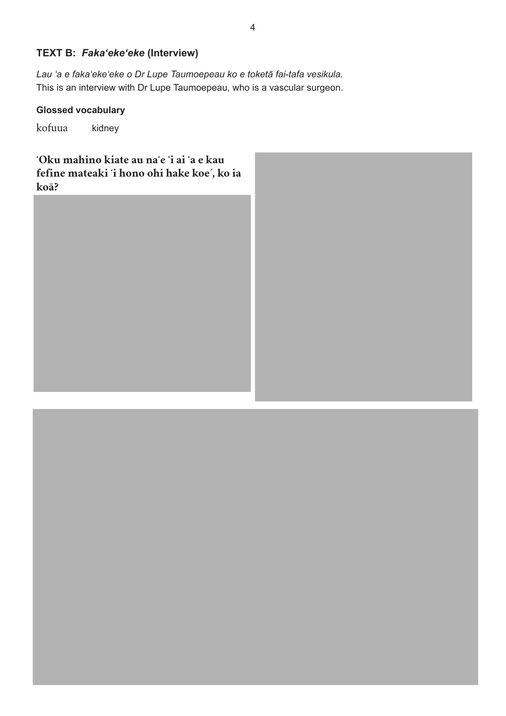## **TEXT B:** *Fakaʻekeʻeke* **(Interview)**

*Lau ʻa e fakaʻekeʻeke o Dr Lupe Taumoepeau ko e toketā fai-tafa vesikula.* This is an interview with Dr Lupe Taumoepeau, who is a vascular surgeon.

## **Glossed vocabulary**

kofuua kidney

**ʻOku mahino kiate au naʻe ʻi ai ʻa e kau fefine mateaki ʻi hono ohi hake koe´, ko ia koā?**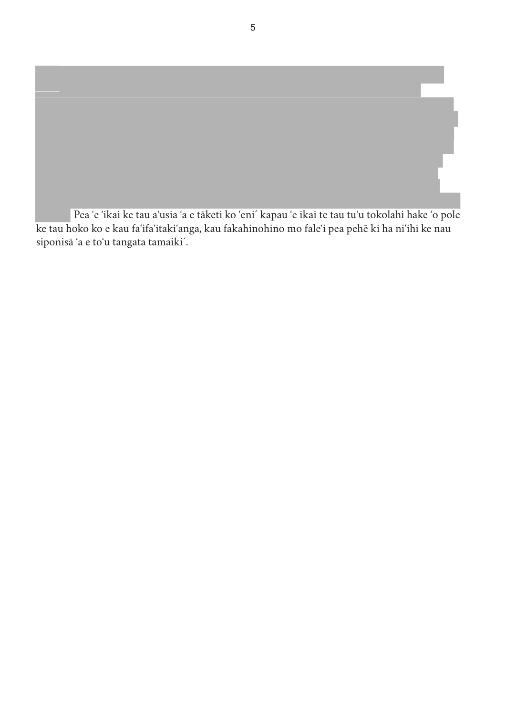Pea ʻe ʻikai ke tau aʻusia ʻa e tāketi ko ʻeni´ kapau ʻe ikai te tau tuʻu tokolahi hake ʻo pole ke tau hoko ko e kau faʻifaʻitakiʻanga, kau fakahinohino mo faleʻi pea pehē ki ha niʻihi ke nau siponisā ʻa e toʻu tangata tamaiki´.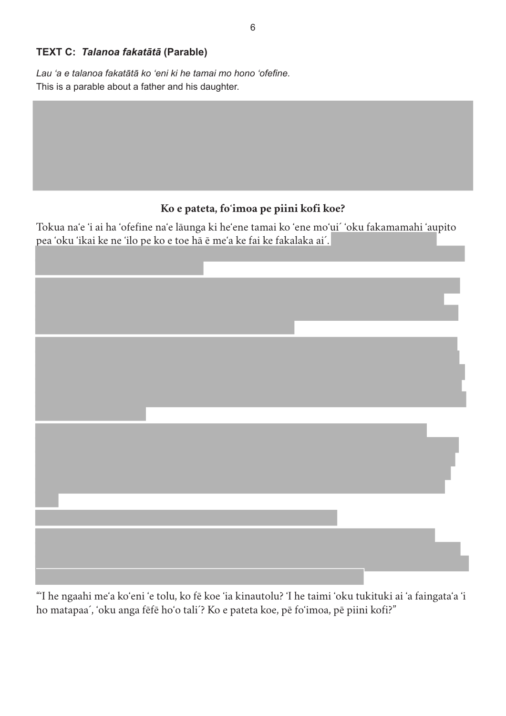## **TEXT C:** *Talanoa fakatātā* **(Parable)**

*Lau ʻa e talanoa fakatātā ko ʻeni ki he tamai mo hono ʻofefine.* This is a parable about a father and his daughter.

## **Ko e pateta, foʻimoa pe piini kofi koe?**

Tokua naʻe ʻi ai ha ʻofefine naʻe lāunga ki heʻene tamai ko ʻene moʻui´ ʻoku fakamamahi ʻaupito pea ʻoku ʻikai ke ne ʻilo pe ko e toe hā ē meʻa ke fai ke fakalaka ai´.



"ʻI he ngaahi meʻa koʻeni ʻe tolu, ko fē koe ʻia kinautolu? ʻI he taimi ʻoku tukituki ai ʻa faingataʻa ʻi ho matapaa´, ʻoku anga fēfē hoʻo tali´? Ko e pateta koe, pē foʻimoa, pē piini kofi?"